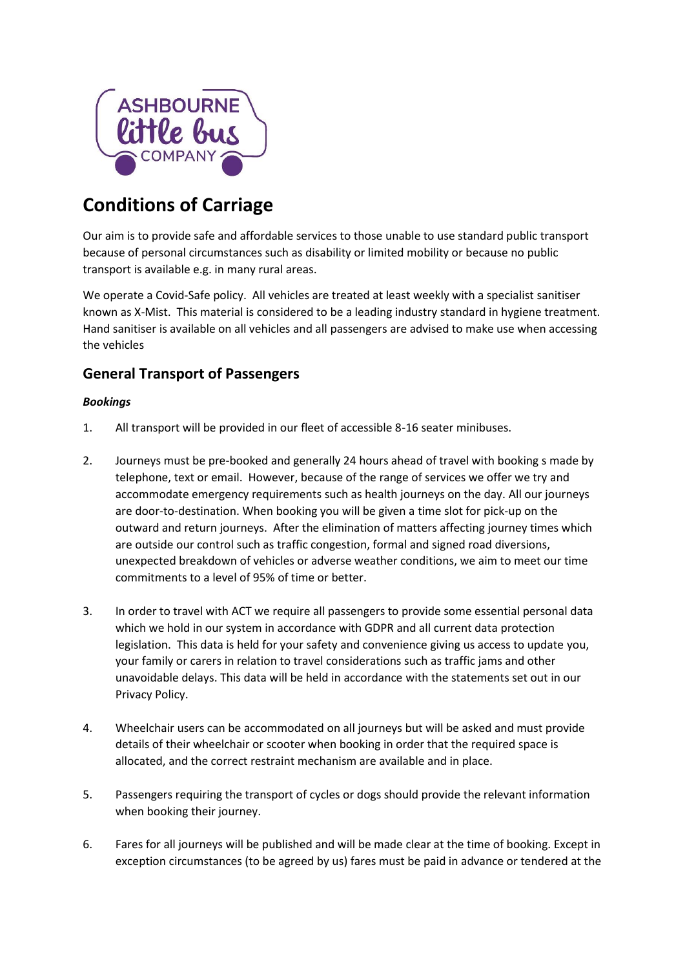

# **Conditions of Carriage**

Our aim is to provide safe and affordable services to those unable to use standard public transport because of personal circumstances such as disability or limited mobility or because no public transport is available e.g. in many rural areas.

We operate a Covid-Safe policy. All vehicles are treated at least weekly with a specialist sanitiser known as X-Mist. This material is considered to be a leading industry standard in hygiene treatment. Hand sanitiser is available on all vehicles and all passengers are advised to make use when accessing the vehicles

# **General Transport of Passengers**

### *Bookings*

- 1. All transport will be provided in our fleet of accessible 8-16 seater minibuses.
- 2. Journeys must be pre-booked and generally 24 hours ahead of travel with booking s made by telephone, text or email. However, because of the range of services we offer we try and accommodate emergency requirements such as health journeys on the day. All our journeys are door-to-destination. When booking you will be given a time slot for pick-up on the outward and return journeys. After the elimination of matters affecting journey times which are outside our control such as traffic congestion, formal and signed road diversions, unexpected breakdown of vehicles or adverse weather conditions, we aim to meet our time commitments to a level of 95% of time or better.
- 3. In order to travel with ACT we require all passengers to provide some essential personal data which we hold in our system in accordance with GDPR and all current data protection legislation. This data is held for your safety and convenience giving us access to update you, your family or carers in relation to travel considerations such as traffic jams and other unavoidable delays. This data will be held in accordance with the statements set out in our Privacy Policy.
- 4. Wheelchair users can be accommodated on all journeys but will be asked and must provide details of their wheelchair or scooter when booking in order that the required space is allocated, and the correct restraint mechanism are available and in place.
- 5. Passengers requiring the transport of cycles or dogs should provide the relevant information when booking their journey.
- 6. Fares for all journeys will be published and will be made clear at the time of booking. Except in exception circumstances (to be agreed by us) fares must be paid in advance or tendered at the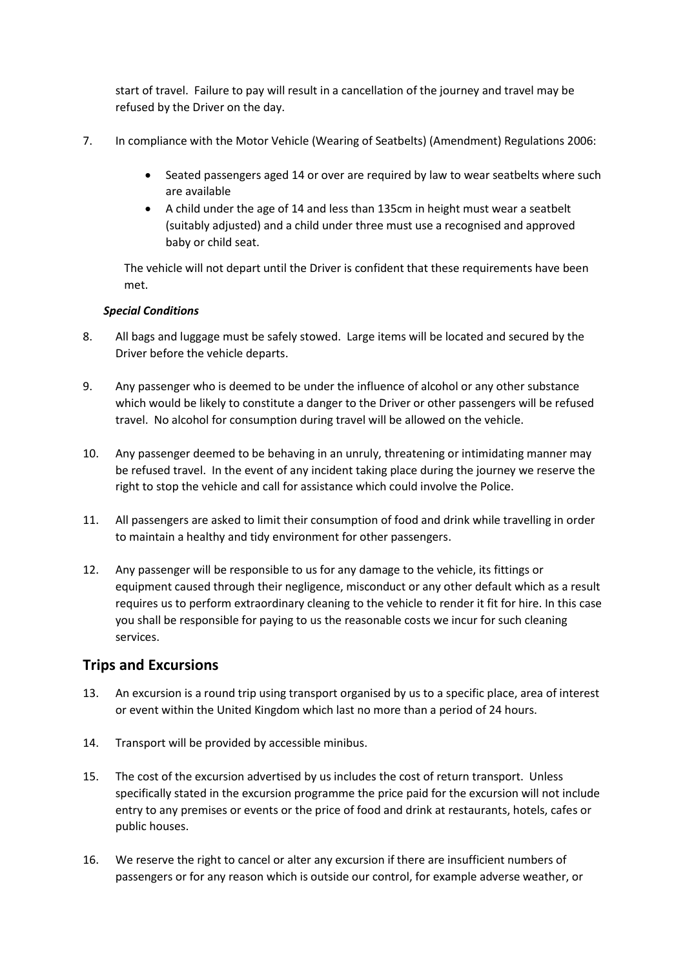start of travel. Failure to pay will result in a cancellation of the journey and travel may be refused by the Driver on the day.

- 7. In compliance with the Motor Vehicle (Wearing of Seatbelts) (Amendment) Regulations 2006:
	- Seated passengers aged 14 or over are required by law to wear seatbelts where such are available
	- A child under the age of 14 and less than 135cm in height must wear a seatbelt (suitably adjusted) and a child under three must use a recognised and approved baby or child seat.

The vehicle will not depart until the Driver is confident that these requirements have been met.

#### *Special Conditions*

- 8. All bags and luggage must be safely stowed. Large items will be located and secured by the Driver before the vehicle departs.
- 9. Any passenger who is deemed to be under the influence of alcohol or any other substance which would be likely to constitute a danger to the Driver or other passengers will be refused travel. No alcohol for consumption during travel will be allowed on the vehicle.
- 10. Any passenger deemed to be behaving in an unruly, threatening or intimidating manner may be refused travel. In the event of any incident taking place during the journey we reserve the right to stop the vehicle and call for assistance which could involve the Police.
- 11. All passengers are asked to limit their consumption of food and drink while travelling in order to maintain a healthy and tidy environment for other passengers.
- 12. Any passenger will be responsible to us for any damage to the vehicle, its fittings or equipment caused through their negligence, misconduct or any other default which as a result requires us to perform extraordinary cleaning to the vehicle to render it fit for hire. In this case you shall be responsible for paying to us the reasonable costs we incur for such cleaning services.

## **Trips and Excursions**

- 13. An excursion is a round trip using transport organised by us to a specific place, area of interest or event within the United Kingdom which last no more than a period of 24 hours.
- 14. Transport will be provided by accessible minibus.
- 15. The cost of the excursion advertised by us includes the cost of return transport. Unless specifically stated in the excursion programme the price paid for the excursion will not include entry to any premises or events or the price of food and drink at restaurants, hotels, cafes or public houses.
- 16. We reserve the right to cancel or alter any excursion if there are insufficient numbers of passengers or for any reason which is outside our control, for example adverse weather, or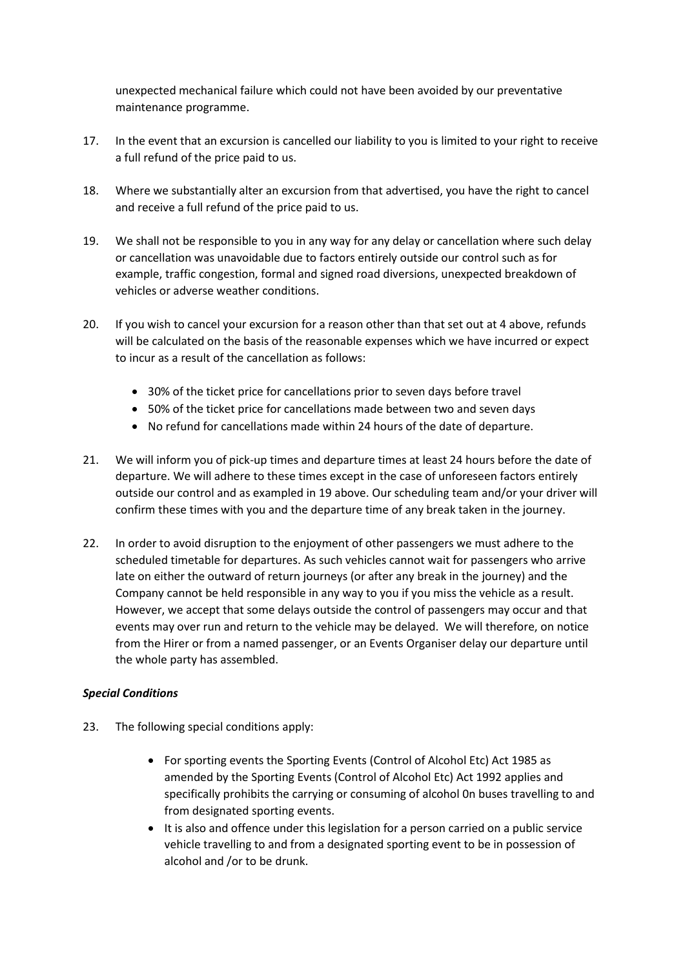unexpected mechanical failure which could not have been avoided by our preventative maintenance programme.

- 17. In the event that an excursion is cancelled our liability to you is limited to your right to receive a full refund of the price paid to us.
- 18. Where we substantially alter an excursion from that advertised, you have the right to cancel and receive a full refund of the price paid to us.
- 19. We shall not be responsible to you in any way for any delay or cancellation where such delay or cancellation was unavoidable due to factors entirely outside our control such as for example, traffic congestion, formal and signed road diversions, unexpected breakdown of vehicles or adverse weather conditions.
- 20. If you wish to cancel your excursion for a reason other than that set out at 4 above, refunds will be calculated on the basis of the reasonable expenses which we have incurred or expect to incur as a result of the cancellation as follows:
	- 30% of the ticket price for cancellations prior to seven days before travel
	- 50% of the ticket price for cancellations made between two and seven days
	- No refund for cancellations made within 24 hours of the date of departure.
- 21. We will inform you of pick-up times and departure times at least 24 hours before the date of departure. We will adhere to these times except in the case of unforeseen factors entirely outside our control and as exampled in 19 above. Our scheduling team and/or your driver will confirm these times with you and the departure time of any break taken in the journey.
- 22. In order to avoid disruption to the enjoyment of other passengers we must adhere to the scheduled timetable for departures. As such vehicles cannot wait for passengers who arrive late on either the outward of return journeys (or after any break in the journey) and the Company cannot be held responsible in any way to you if you miss the vehicle as a result. However, we accept that some delays outside the control of passengers may occur and that events may over run and return to the vehicle may be delayed. We will therefore, on notice from the Hirer or from a named passenger, or an Events Organiser delay our departure until the whole party has assembled.

#### *Special Conditions*

- 23. The following special conditions apply:
	- For sporting events the Sporting Events (Control of Alcohol Etc) Act 1985 as amended by the Sporting Events (Control of Alcohol Etc) Act 1992 applies and specifically prohibits the carrying or consuming of alcohol 0n buses travelling to and from designated sporting events.
	- It is also and offence under this legislation for a person carried on a public service vehicle travelling to and from a designated sporting event to be in possession of alcohol and /or to be drunk.